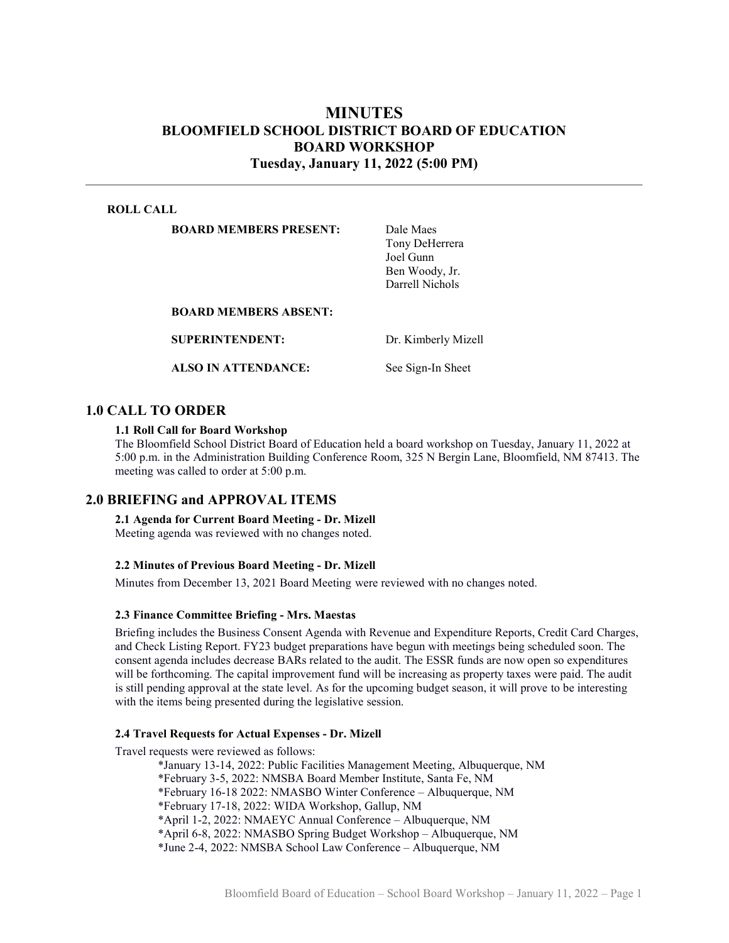## MINUTES BLOOMFIELD SCHOOL DISTRICT BOARD OF EDUCATION BOARD WORKSHOP Tuesday, January 11, 2022 (5:00 PM)

#### ROLL CALL

BOARD MEMBERS PRESENT: Dale Maes

Tony DeHerrera Joel Gunn Ben Woody, Jr. Darrell Nichols

BOARD MEMBERS ABSENT:

SUPERINTENDENT: Dr. Kimberly Mizell

ALSO IN ATTENDANCE: See Sign-In Sheet

## 1.0 CALL TO ORDER

#### 1.1 Roll Call for Board Workshop

The Bloomfield School District Board of Education held a board workshop on Tuesday, January 11, 2022 at 5:00 p.m. in the Administration Building Conference Room, 325 N Bergin Lane, Bloomfield, NM 87413. The meeting was called to order at 5:00 p.m.

## 2.0 BRIEFING and APPROVAL ITEMS

## 2.1 Agenda for Current Board Meeting - Dr. Mizell

Meeting agenda was reviewed with no changes noted.

### 2.2 Minutes of Previous Board Meeting - Dr. Mizell

Minutes from December 13, 2021 Board Meeting were reviewed with no changes noted.

#### 2.3 Finance Committee Briefing - Mrs. Maestas

Briefing includes the Business Consent Agenda with Revenue and Expenditure Reports, Credit Card Charges, and Check Listing Report. FY23 budget preparations have begun with meetings being scheduled soon. The consent agenda includes decrease BARs related to the audit. The ESSR funds are now open so expenditures will be forthcoming. The capital improvement fund will be increasing as property taxes were paid. The audit is still pending approval at the state level. As for the upcoming budget season, it will prove to be interesting with the items being presented during the legislative session.

#### 2.4 Travel Requests for Actual Expenses - Dr. Mizell

Travel requests were reviewed as follows:

\*January 13-14, 2022: Public Facilities Management Meeting, Albuquerque, NM \*February 3-5, 2022: NMSBA Board Member Institute, Santa Fe, NM \*February 16-18 2022: NMASBO Winter Conference – Albuquerque, NM \*February 17-18, 2022: WIDA Workshop, Gallup, NM \*April 1-2, 2022: NMAEYC Annual Conference – Albuquerque, NM \*April 6-8, 2022: NMASBO Spring Budget Workshop – Albuquerque, NM \*June 2-4, 2022: NMSBA School Law Conference – Albuquerque, NM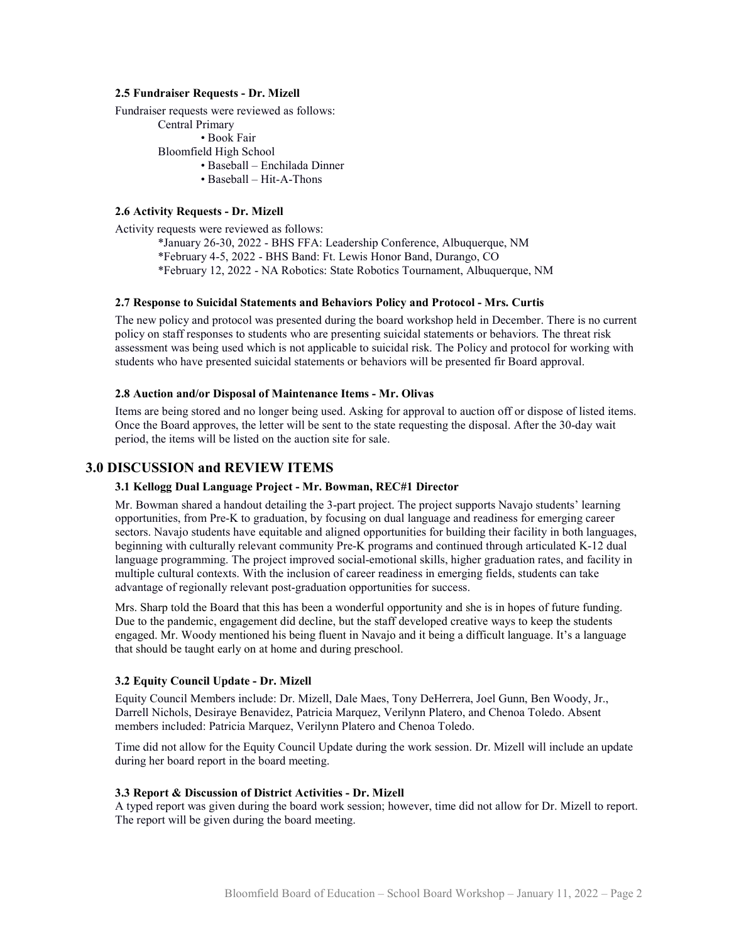#### 2.5 Fundraiser Requests - Dr. Mizell

Fundraiser requests were reviewed as follows: Central Primary • Book Fair Bloomfield High School • Baseball – Enchilada Dinner • Baseball – Hit-A-Thons

#### 2.6 Activity Requests - Dr. Mizell

Activity requests were reviewed as follows: \*January 26-30, 2022 - BHS FFA: Leadership Conference, Albuquerque, NM \*February 4-5, 2022 - BHS Band: Ft. Lewis Honor Band, Durango, CO \*February 12, 2022 - NA Robotics: State Robotics Tournament, Albuquerque, NM

#### 2.7 Response to Suicidal Statements and Behaviors Policy and Protocol - Mrs. Curtis

The new policy and protocol was presented during the board workshop held in December. There is no current policy on staff responses to students who are presenting suicidal statements or behaviors. The threat risk assessment was being used which is not applicable to suicidal risk. The Policy and protocol for working with students who have presented suicidal statements or behaviors will be presented fir Board approval.

#### 2.8 Auction and/or Disposal of Maintenance Items - Mr. Olivas

Items are being stored and no longer being used. Asking for approval to auction off or dispose of listed items. Once the Board approves, the letter will be sent to the state requesting the disposal. After the 30-day wait period, the items will be listed on the auction site for sale.

## 3.0 DISCUSSION and REVIEW ITEMS

#### 3.1 Kellogg Dual Language Project - Mr. Bowman, REC#1 Director

Mr. Bowman shared a handout detailing the 3-part project. The project supports Navajo students' learning opportunities, from Pre-K to graduation, by focusing on dual language and readiness for emerging career sectors. Navajo students have equitable and aligned opportunities for building their facility in both languages, beginning with culturally relevant community Pre-K programs and continued through articulated K-12 dual language programming. The project improved social-emotional skills, higher graduation rates, and facility in multiple cultural contexts. With the inclusion of career readiness in emerging fields, students can take advantage of regionally relevant post-graduation opportunities for success.

Mrs. Sharp told the Board that this has been a wonderful opportunity and she is in hopes of future funding. Due to the pandemic, engagement did decline, but the staff developed creative ways to keep the students engaged. Mr. Woody mentioned his being fluent in Navajo and it being a difficult language. It's a language that should be taught early on at home and during preschool.

#### 3.2 Equity Council Update - Dr. Mizell

Equity Council Members include: Dr. Mizell, Dale Maes, Tony DeHerrera, Joel Gunn, Ben Woody, Jr., Darrell Nichols, Desiraye Benavidez, Patricia Marquez, Verilynn Platero, and Chenoa Toledo. Absent members included: Patricia Marquez, Verilynn Platero and Chenoa Toledo.

Time did not allow for the Equity Council Update during the work session. Dr. Mizell will include an update during her board report in the board meeting.

#### 3.3 Report & Discussion of District Activities - Dr. Mizell

A typed report was given during the board work session; however, time did not allow for Dr. Mizell to report. The report will be given during the board meeting.